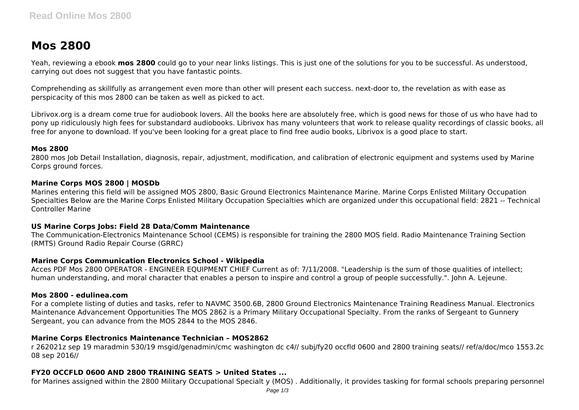# **Mos 2800**

Yeah, reviewing a ebook **mos 2800** could go to your near links listings. This is just one of the solutions for you to be successful. As understood, carrying out does not suggest that you have fantastic points.

Comprehending as skillfully as arrangement even more than other will present each success. next-door to, the revelation as with ease as perspicacity of this mos 2800 can be taken as well as picked to act.

Librivox.org is a dream come true for audiobook lovers. All the books here are absolutely free, which is good news for those of us who have had to pony up ridiculously high fees for substandard audiobooks. Librivox has many volunteers that work to release quality recordings of classic books, all free for anyone to download. If you've been looking for a great place to find free audio books, Librivox is a good place to start.

## **Mos 2800**

2800 mos Job Detail Installation, diagnosis, repair, adjustment, modification, and calibration of electronic equipment and systems used by Marine Corps ground forces.

## **Marine Corps MOS 2800 | MOSDb**

Marines entering this field will be assigned MOS 2800, Basic Ground Electronics Maintenance Marine. Marine Corps Enlisted Military Occupation Specialties Below are the Marine Corps Enlisted Military Occupation Specialties which are organized under this occupational field: 2821 -- Technical Controller Marine

## **US Marine Corps Jobs: Field 28 Data/Comm Maintenance**

The Communication-Electronics Maintenance School (CEMS) is responsible for training the 2800 MOS field. Radio Maintenance Training Section (RMTS) Ground Radio Repair Course (GRRC)

# **Marine Corps Communication Electronics School - Wikipedia**

Acces PDF Mos 2800 OPERATOR - ENGINEER EQUIPMENT CHIEF Current as of: 7/11/2008. "Leadership is the sum of those qualities of intellect; human understanding, and moral character that enables a person to inspire and control a group of people successfully.". John A. Lejeune.

## **Mos 2800 - edulinea.com**

For a complete listing of duties and tasks, refer to NAVMC 3500.6B, 2800 Ground Electronics Maintenance Training Readiness Manual. Electronics Maintenance Advancement Opportunities The MOS 2862 is a Primary Military Occupational Specialty. From the ranks of Sergeant to Gunnery Sergeant, you can advance from the MOS 2844 to the MOS 2846.

# **Marine Corps Electronics Maintenance Technician – MOS2862**

r 262021z sep 19 maradmin 530/19 msgid/genadmin/cmc washington dc c4// subj/fy20 occfld 0600 and 2800 training seats// ref/a/doc/mco 1553.2c 08 sep 2016//

# **FY20 OCCFLD 0600 AND 2800 TRAINING SEATS > United States ...**

for Marines assigned within the 2800 Military Occupational Specialt y (MOS) . Additionally, it provides tasking for formal schools preparing personnel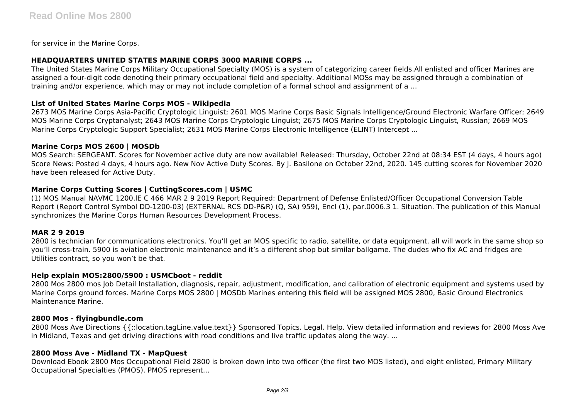for service in the Marine Corps.

## **HEADQUARTERS UNITED STATES MARINE CORPS 3000 MARINE CORPS ...**

The United States Marine Corps Military Occupational Specialty (MOS) is a system of categorizing career fields.All enlisted and officer Marines are assigned a four-digit code denoting their primary occupational field and specialty. Additional MOSs may be assigned through a combination of training and/or experience, which may or may not include completion of a formal school and assignment of a ...

## **List of United States Marine Corps MOS - Wikipedia**

2673 MOS Marine Corps Asia-Pacific Cryptologic Linguist; 2601 MOS Marine Corps Basic Signals Intelligence/Ground Electronic Warfare Officer; 2649 MOS Marine Corps Cryptanalyst; 2643 MOS Marine Corps Cryptologic Linguist; 2675 MOS Marine Corps Cryptologic Linguist, Russian; 2669 MOS Marine Corps Cryptologic Support Specialist; 2631 MOS Marine Corps Electronic Intelligence (ELINT) Intercept ...

## **Marine Corps MOS 2600 | MOSDb**

MOS Search: SERGEANT. Scores for November active duty are now available! Released: Thursday, October 22nd at 08:34 EST (4 days, 4 hours ago) Score News: Posted 4 days, 4 hours ago. New Nov Active Duty Scores. By J. Basilone on October 22nd, 2020. 145 cutting scores for November 2020 have been released for Active Duty.

# **Marine Corps Cutting Scores | CuttingScores.com | USMC**

(1) MOS Manual NAVMC 1200.lE C 466 MAR 2 9 2019 Report Required: Department of Defense Enlisted/Officer Occupational Conversion Table Report (Report Control Symbol DD-1200-03) (EXTERNAL RCS DD-P&R) (Q, SA) 959), Encl (1), par.0006.3 1. Situation. The publication of this Manual synchronizes the Marine Corps Human Resources Development Process.

## **MAR 2 9 2019**

2800 is technician for communications electronics. You'll get an MOS specific to radio, satellite, or data equipment, all will work in the same shop so you'll cross-train. 5900 is aviation electronic maintenance and it's a different shop but similar ballgame. The dudes who fix AC and fridges are Utilities contract, so you won't be that.

## **Help explain MOS:2800/5900 : USMCboot - reddit**

2800 Mos 2800 mos Job Detail Installation, diagnosis, repair, adjustment, modification, and calibration of electronic equipment and systems used by Marine Corps ground forces. Marine Corps MOS 2800 | MOSDb Marines entering this field will be assigned MOS 2800, Basic Ground Electronics Maintenance Marine.

## **2800 Mos - flyingbundle.com**

2800 Moss Ave Directions {{::location.tagLine.value.text}} Sponsored Topics. Legal. Help. View detailed information and reviews for 2800 Moss Ave in Midland, Texas and get driving directions with road conditions and live traffic updates along the way. ...

## **2800 Moss Ave - Midland TX - MapQuest**

Download Ebook 2800 Mos Occupational Field 2800 is broken down into two officer (the first two MOS listed), and eight enlisted, Primary Military Occupational Specialties (PMOS). PMOS represent...